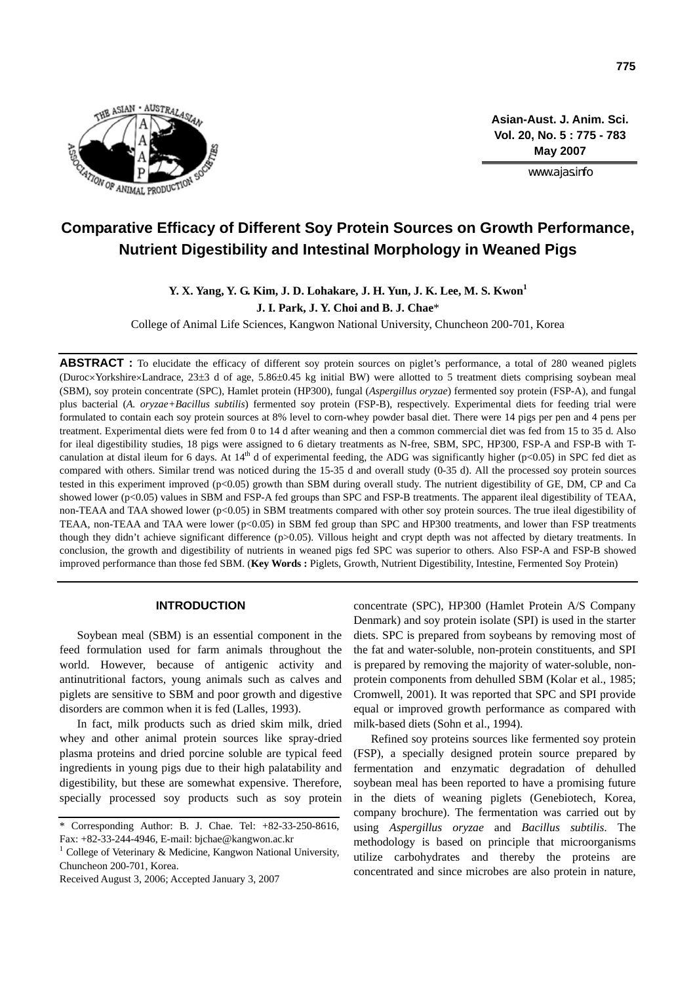

**Asian-Aust. J. Anim. Sci. Vol. 20, No. 5 : 775 - 783 May 2007**

www.ajas.info

# **Comparative Efficacy of Different Soy Protein Sources on Growth Performance, Nutrient Digestibility and Intestinal Morphology in Weaned Pigs**

## **Y. X. Yang, Y. G. Kim, J. D. Lohakare, J. H. Yun, J. K. Lee, M. S. Kwon<sup>1</sup> J. I. Park, J. Y. Choi and B. J. Chae**\*

College of Animal Life Sciences, Kangwon National University, Chuncheon 200-701, Korea

**ABSTRACT :** To elucidate the efficacy of different soy protein sources on piglet's performance, a total of 280 weaned piglets (Duroc×Yorkshire×Landrace, 23±3 d of age, 5.86±0.45 kg initial BW) were allotted to 5 treatment diets comprising soybean meal (SBM), soy protein concentrate (SPC), Hamlet protein (HP300), fungal (*Aspergillus oryzae*) fermented soy protein (FSP-A), and fungal plus bacterial (*A. oryzae+Bacillus subtilis*) fermented soy protein (FSP-B), respectively. Experimental diets for feeding trial were formulated to contain each soy protein sources at 8% level to corn-whey powder basal diet. There were 14 pigs per pen and 4 pens per treatment. Experimental diets were fed from 0 to 14 d after weaning and then a common commercial diet was fed from 15 to 35 d. Also for ileal digestibility studies, 18 pigs were assigned to 6 dietary treatments as N-free, SBM, SPC, HP300, FSP-A and FSP-B with Tcanulation at distal ileum for 6 days. At  $14<sup>th</sup>$  d of experimental feeding, the ADG was significantly higher (p<0.05) in SPC fed diet as compared with others. Similar trend was noticed during the 15-35 d and overall study (0-35 d). All the processed soy protein sources tested in this experiment improved (p<0.05) growth than SBM during overall study. The nutrient digestibility of GE, DM, CP and Ca showed lower (p<0.05) values in SBM and FSP-A fed groups than SPC and FSP-B treatments. The apparent ileal digestibility of TEAA, non-TEAA and TAA showed lower (p<0.05) in SBM treatments compared with other soy protein sources. The true ileal digestibility of TEAA, non-TEAA and TAA were lower (p<0.05) in SBM fed group than SPC and HP300 treatments, and lower than FSP treatments though they didn't achieve significant difference (p>0.05). Villous height and crypt depth was not affected by dietary treatments. In conclusion, the growth and digestibility of nutrients in weaned pigs fed SPC was superior to others. Also FSP-A and FSP-B showed improved performance than those fed SBM. (**Key Words :** Piglets, Growth, Nutrient Digestibility, Intestine, Fermented Soy Protein)

## **INTRODUCTION**

Soybean meal (SBM) is an essential component in the feed formulation used for farm animals throughout the world. However, because of antigenic activity and antinutritional factors, young animals such as calves and piglets are sensitive to SBM and poor growth and digestive disorders are common when it is fed (Lalles, 1993).

In fact, milk products such as dried skim milk, dried whey and other animal protein sources like spray-dried plasma proteins and dried porcine soluble are typical feed ingredients in young pigs due to their high palatability and digestibility, but these are somewhat expensive. Therefore, specially processed soy products such as soy protein

1 College of Veterinary & Medicine, Kangwon National University, Chuncheon 200-701, Korea.

Received August 3, 2006; Accepted January 3, 2007

concentrate (SPC), HP300 (Hamlet Protein A/S Company Denmark) and soy protein isolate (SPI) is used in the starter diets. SPC is prepared from soybeans by removing most of the fat and water-soluble, non-protein constituents, and SPI is prepared by removing the majority of water-soluble, nonprotein components from dehulled SBM (Kolar et al., 1985; Cromwell, 2001). It was reported that SPC and SPI provide equal or improved growth performance as compared with milk-based diets (Sohn et al., 1994).

Refined soy proteins sources like fermented soy protein (FSP), a specially designed protein source prepared by fermentation and enzymatic degradation of dehulled soybean meal has been reported to have a promising future in the diets of weaning piglets (Genebiotech, Korea, company brochure). The fermentation was carried out by using *Aspergillus oryzae* and *Bacillus subtilis*. The methodology is based on principle that microorganisms utilize carbohydrates and thereby the proteins are concentrated and since microbes are also protein in nature,

Corresponding Author: B. J. Chae. Tel: +82-33-250-8616, Fax: +82-33-244-4946, E-mail: bjchae@kangwon.ac.kr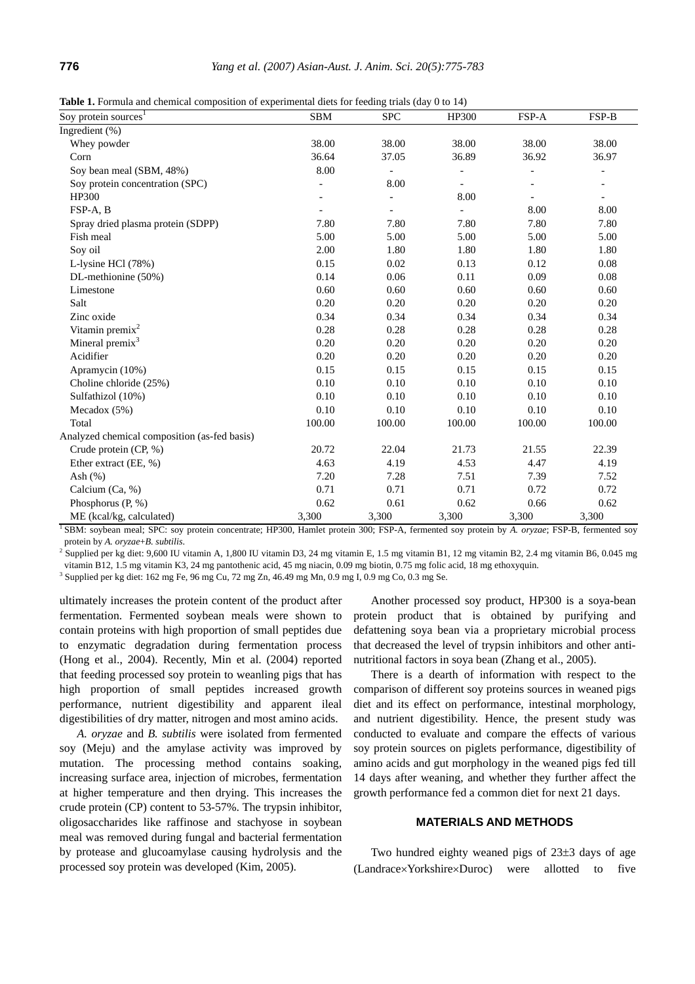| Table 1. Formula and chemical composition of experimental diets for feeding trials (day 0 to 14) |  |  |  |  |  |  |  |  |  |  |
|--------------------------------------------------------------------------------------------------|--|--|--|--|--|--|--|--|--|--|
|--------------------------------------------------------------------------------------------------|--|--|--|--|--|--|--|--|--|--|

| Soy protein sources <sup>1</sup>             | <b>SBM</b> | <b>SPC</b>               | HP300          | FSP-A                    | FSP-B                    |
|----------------------------------------------|------------|--------------------------|----------------|--------------------------|--------------------------|
| Ingredient (%)                               |            |                          |                |                          |                          |
| Whey powder                                  | 38.00      | 38.00                    | 38.00          | 38.00                    | 38.00                    |
| Corn                                         | 36.64      | 37.05                    | 36.89          | 36.92                    | 36.97                    |
| Soy bean meal (SBM, 48%)                     | 8.00       | $\overline{\phantom{0}}$ |                |                          |                          |
| Soy protein concentration (SPC)              |            | 8.00                     | $\overline{a}$ |                          |                          |
| HP300                                        |            |                          | 8.00           | $\overline{\phantom{0}}$ | $\overline{\phantom{a}}$ |
| FSP-A, B                                     |            |                          |                | 8.00                     | 8.00                     |
| Spray dried plasma protein (SDPP)            | 7.80       | 7.80                     | 7.80           | 7.80                     | 7.80                     |
| Fish meal                                    | 5.00       | 5.00                     | 5.00           | 5.00                     | 5.00                     |
| Soy oil                                      | 2.00       | 1.80                     | 1.80           | 1.80                     | 1.80                     |
| L-lysine HCl (78%)                           | 0.15       | 0.02                     | 0.13           | 0.12                     | 0.08                     |
| DL-methionine (50%)                          | 0.14       | 0.06                     | 0.11           | 0.09                     | 0.08                     |
| Limestone                                    | 0.60       | 0.60                     | 0.60           | 0.60                     | 0.60                     |
| Salt                                         | 0.20       | 0.20                     | 0.20           | 0.20                     | 0.20                     |
| Zinc oxide                                   | 0.34       | 0.34                     | 0.34           | 0.34                     | 0.34                     |
| Vitamin premix <sup>2</sup>                  | 0.28       | 0.28                     | 0.28           | 0.28                     | 0.28                     |
| Mineral premix <sup>3</sup>                  | 0.20       | 0.20                     | 0.20           | 0.20                     | 0.20                     |
| Acidifier                                    | 0.20       | 0.20                     | 0.20           | 0.20                     | 0.20                     |
| Apramycin (10%)                              | 0.15       | 0.15                     | 0.15           | 0.15                     | 0.15                     |
| Choline chloride (25%)                       | 0.10       | 0.10                     | 0.10           | 0.10                     | 0.10                     |
| Sulfathizol (10%)                            | 0.10       | 0.10                     | 0.10           | 0.10                     | 0.10                     |
| Mecadox $(5%)$                               | 0.10       | 0.10                     | 0.10           | 0.10                     | 0.10                     |
| Total                                        | 100.00     | 100.00                   | 100.00         | 100.00                   | 100.00                   |
| Analyzed chemical composition (as-fed basis) |            |                          |                |                          |                          |
| Crude protein (CP, %)                        | 20.72      | 22.04                    | 21.73          | 21.55                    | 22.39                    |
| Ether extract (EE, %)                        | 4.63       | 4.19                     | 4.53           | 4.47                     | 4.19                     |
| Ash $(\%)$                                   | 7.20       | 7.28                     | 7.51           | 7.39                     | 7.52                     |
| Calcium (Ca, %)                              | 0.71       | 0.71                     | 0.71           | 0.72                     | 0.72                     |
| Phosphorus $(P, \mathcal{C})$                | 0.62       | 0.61                     | 0.62           | 0.66                     | 0.62                     |
| ME (kcal/kg, calculated)                     | 3,300      | 3,300                    | 3,300          | 3,300                    | 3,300                    |

SBM: soybean meal; SPC: soy protein concentrate; HP300, Hamlet protein 300; FSP-A, fermented soy protein by *A. oryzae*; FSP-B, fermented soy protein by *A. oryzae*+*B. subtilis*. 2

<sup>2</sup> Supplied per kg diet: 9,600 IU vitamin A, 1,800 IU vitamin D3, 24 mg vitamin E, 1.5 mg vitamin B1, 12 mg vitamin B2, 2.4 mg vitamin B6, 0.045 mg vitamin B12, 1.5 mg vitamin K3, 24 mg pantothenic acid, 45 mg niacin, 0.09 mg biotin, 0.75 mg folic acid, 18 mg ethoxyquin. 3

 $3$  Supplied per kg diet:  $162$  mg Fe,  $96$  mg Cu,  $72$  mg Zn,  $46.49$  mg Mn,  $0.9$  mg I,  $0.9$  mg Co,  $0.3$  mg Se.

ultimately increases the protein content of the product after fermentation. Fermented soybean meals were shown to contain proteins with high proportion of small peptides due to enzymatic degradation during fermentation process (Hong et al., 2004). Recently, Min et al. (2004) reported that feeding processed soy protein to weanling pigs that has high proportion of small peptides increased growth performance, nutrient digestibility and apparent ileal digestibilities of dry matter, nitrogen and most amino acids.

*A. oryzae* and *B. subtilis* were isolated from fermented soy (Meju) and the amylase activity was improved by mutation. The processing method contains soaking, increasing surface area, injection of microbes, fermentation at higher temperature and then drying. This increases the crude protein (CP) content to 53-57%. The trypsin inhibitor, oligosaccharides like raffinose and stachyose in soybean meal was removed during fungal and bacterial fermentation by protease and glucoamylase causing hydrolysis and the processed soy protein was developed (Kim, 2005).

Another processed soy product, HP300 is a soya-bean protein product that is obtained by purifying and defattening soya bean via a proprietary microbial process that decreased the level of trypsin inhibitors and other antinutritional factors in soya bean (Zhang et al., 2005).

There is a dearth of information with respect to the comparison of different soy proteins sources in weaned pigs diet and its effect on performance, intestinal morphology, and nutrient digestibility. Hence, the present study was conducted to evaluate and compare the effects of various soy protein sources on piglets performance, digestibility of amino acids and gut morphology in the weaned pigs fed till 14 days after weaning, and whether they further affect the growth performance fed a common diet for next 21 days.

## **MATERIALS AND METHODS**

Two hundred eighty weaned pigs of 23±3 days of age (Landrace×Yorkshire×Duroc) were allotted to five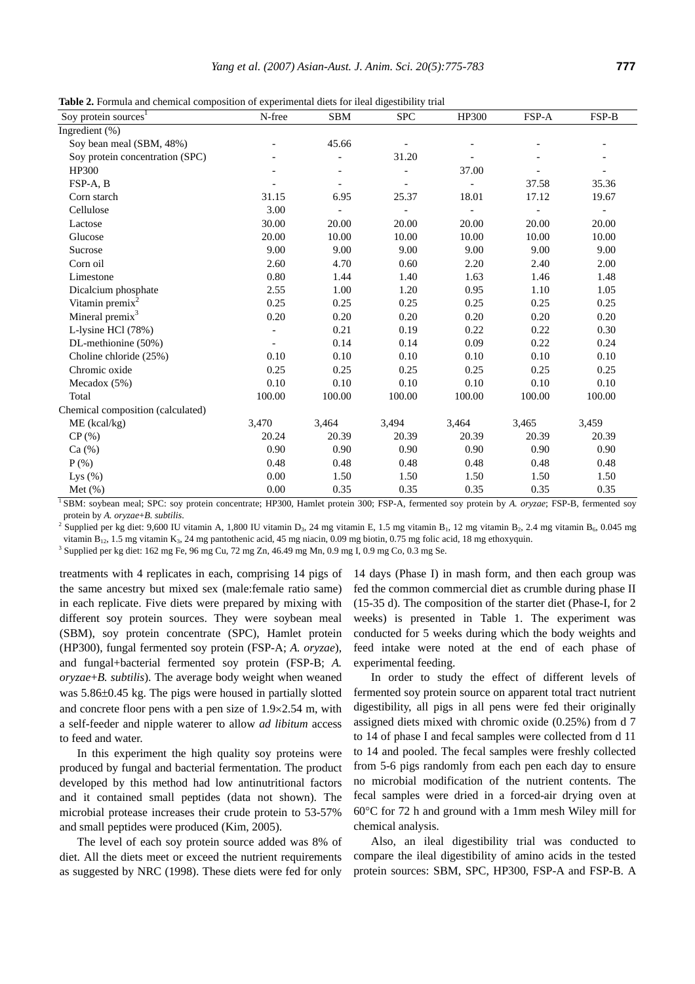**Table 2.** Formula and chemical composition of experimental diets for ileal digestibility trial

| Soy protein sources <sup>1</sup>  | N-free   | <b>SBM</b> | <b>SPC</b> | HP300                    | FSP-A          | FSP-B                    |
|-----------------------------------|----------|------------|------------|--------------------------|----------------|--------------------------|
| Ingredient (%)                    |          |            |            |                          |                |                          |
| Soy bean meal (SBM, 48%)          |          | 45.66      |            |                          |                |                          |
| Soy protein concentration (SPC)   |          |            | 31.20      |                          |                |                          |
| HP300                             |          |            |            | 37.00                    |                |                          |
| FSP-A, B                          |          |            |            |                          | 37.58          | 35.36                    |
| Corn starch                       | 31.15    | 6.95       | 25.37      | 18.01                    | 17.12          | 19.67                    |
| Cellulose                         | 3.00     |            |            | $\overline{\phantom{a}}$ | $\overline{a}$ | $\overline{\phantom{a}}$ |
| Lactose                           | 30.00    | 20.00      | 20.00      | 20.00                    | 20.00          | 20.00                    |
| Glucose                           | 20.00    | 10.00      | 10.00      | 10.00                    | 10.00          | 10.00                    |
| Sucrose                           | 9.00     | 9.00       | 9.00       | 9.00                     | 9.00           | 9.00                     |
| Corn oil                          | 2.60     | 4.70       | 0.60       | 2.20                     | 2.40           | 2.00                     |
| Limestone                         | 0.80     | 1.44       | 1.40       | 1.63                     | 1.46           | 1.48                     |
| Dicalcium phosphate               | 2.55     | 1.00       | 1.20       | 0.95                     | 1.10           | 1.05                     |
| Vitamin premix <sup>2</sup>       | 0.25     | 0.25       | 0.25       | 0.25                     | 0.25           | 0.25                     |
| Mineral premix <sup>3</sup>       | $0.20\,$ | 0.20       | 0.20       | 0.20                     | 0.20           | 0.20                     |
| L-lysine HCl (78%)                |          | 0.21       | 0.19       | 0.22                     | 0.22           | 0.30                     |
| DL-methionine (50%)               |          | 0.14       | 0.14       | 0.09                     | 0.22           | 0.24                     |
| Choline chloride (25%)            | 0.10     | 0.10       | 0.10       | 0.10                     | 0.10           | 0.10                     |
| Chromic oxide                     | 0.25     | 0.25       | 0.25       | 0.25                     | 0.25           | 0.25                     |
| Mecadox $(5%)$                    | 0.10     | 0.10       | 0.10       | 0.10                     | 0.10           | 0.10                     |
| Total                             | 100.00   | 100.00     | 100.00     | 100.00                   | 100.00         | 100.00                   |
| Chemical composition (calculated) |          |            |            |                          |                |                          |
| $ME$ (kcal/kg)                    | 3,470    | 3,464      | 3,494      | 3,464                    | 3,465          | 3,459                    |
| CP(%)                             | 20.24    | 20.39      | 20.39      | 20.39                    | 20.39          | 20.39                    |
| Ca (%)                            | 0.90     | 0.90       | 0.90       | 0.90                     | 0.90           | 0.90                     |
| $P$ (%)                           | 0.48     | 0.48       | 0.48       | 0.48                     | 0.48           | 0.48                     |
| Lys $(\% )$                       | 0.00     | 1.50       | 1.50       | 1.50                     | 1.50           | 1.50                     |
| Met $(\%)$                        | 0.00     | 0.35       | 0.35       | 0.35                     | 0.35           | 0.35                     |

<sup>1</sup> SBM: soybean meal; SPC: soy protein concentrate; HP300, Hamlet protein 300; FSP-A, fermented soy protein by *A. oryzae*; FSP-B, fermented soy protein by *A. oryzae*+*B. subtilis*. 2

Supplied per kg diet: 9,600 IU vitamin A, 1,800 IU vitamin D<sub>3</sub>, 24 mg vitamin E, 1.5 mg vitamin B<sub>1</sub>, 12 mg vitamin B<sub>2</sub>, 2.4 mg vitamin B<sub>6</sub>, 0.045 mg vitamin B<sub>12</sub>, 1.5 mg vitamin K<sub>3</sub>, 24 mg pantothenic acid, 45 mg niacin, 0.09 mg biotin, 0.75 mg folic acid, 18 mg ethoxyquin.

Supplied per kg diet: 162 mg Fe, 96 mg Cu, 72 mg Zn, 46.49 mg Mn, 0.9 mg I, 0.9 mg Co, 0.3 mg Se.

treatments with 4 replicates in each, comprising 14 pigs of the same ancestry but mixed sex (male:female ratio same) in each replicate. Five diets were prepared by mixing with different soy protein sources. They were soybean meal (SBM), soy protein concentrate (SPC), Hamlet protein (HP300), fungal fermented soy protein (FSP-A; *A. oryzae*), and fungal+bacterial fermented soy protein (FSP-B; *A. oryzae*+*B. subtilis*). The average body weight when weaned was 5.86±0.45 kg. The pigs were housed in partially slotted and concrete floor pens with a pen size of 1.9×2.54 m, with a self-feeder and nipple waterer to allow *ad libitum* access to feed and water.

In this experiment the high quality soy proteins were produced by fungal and bacterial fermentation. The product developed by this method had low antinutritional factors and it contained small peptides (data not shown). The microbial protease increases their crude protein to 53-57% and small peptides were produced (Kim, 2005).

The level of each soy protein source added was 8% of diet. All the diets meet or exceed the nutrient requirements as suggested by NRC (1998). These diets were fed for only 14 days (Phase I) in mash form, and then each group was fed the common commercial diet as crumble during phase II (15-35 d). The composition of the starter diet (Phase-I, for 2 weeks) is presented in Table 1. The experiment was conducted for 5 weeks during which the body weights and feed intake were noted at the end of each phase of experimental feeding.

In order to study the effect of different levels of fermented soy protein source on apparent total tract nutrient digestibility, all pigs in all pens were fed their originally assigned diets mixed with chromic oxide (0.25%) from d 7 to 14 of phase I and fecal samples were collected from d 11 to 14 and pooled. The fecal samples were freshly collected from 5-6 pigs randomly from each pen each day to ensure no microbial modification of the nutrient contents. The fecal samples were dried in a forced-air drying oven at 60°C for 72 h and ground with a 1mm mesh Wiley mill for chemical analysis.

Also, an ileal digestibility trial was conducted to compare the ileal digestibility of amino acids in the tested protein sources: SBM, SPC, HP300, FSP-A and FSP-B. A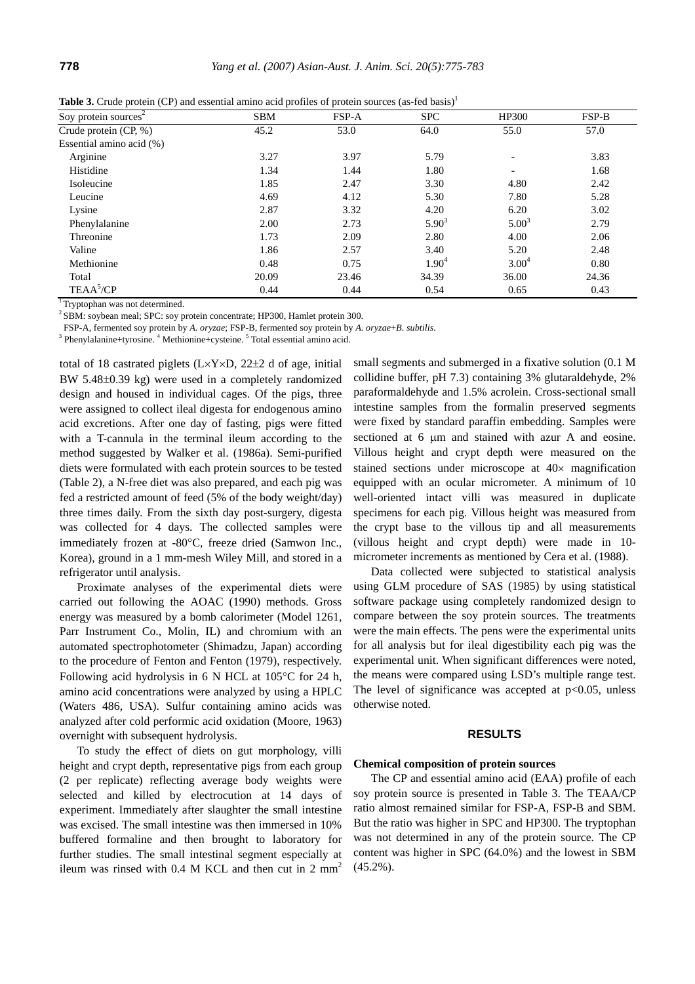|                                  | $\ddot{\phantom{1}}$ |       |            |                          |       |
|----------------------------------|----------------------|-------|------------|--------------------------|-------|
| Soy protein sources <sup>2</sup> | <b>SBM</b>           | FSP-A | <b>SPC</b> | HP300                    | FSP-B |
| Crude protein (CP, %)            | 45.2                 | 53.0  | 64.0       | 55.0                     | 57.0  |
| Essential amino acid (%)         |                      |       |            |                          |       |
| Arginine                         | 3.27                 | 3.97  | 5.79       |                          | 3.83  |
| Histidine                        | 1.34                 | 1.44  | 1.80       | $\overline{\phantom{0}}$ | 1.68  |
| Isoleucine                       | 1.85                 | 2.47  | 3.30       | 4.80                     | 2.42  |
| Leucine                          | 4.69                 | 4.12  | 5.30       | 7.80                     | 5.28  |
| Lysine                           | 2.87                 | 3.32  | 4.20       | 6.20                     | 3.02  |
| Phenylalanine                    | 2.00                 | 2.73  | $5.90^{3}$ | $5.00^{3}$               | 2.79  |
| Threonine                        | 1.73                 | 2.09  | 2.80       | 4.00                     | 2.06  |
| Valine                           | 1.86                 | 2.57  | 3.40       | 5.20                     | 2.48  |
| Methionine                       | 0.48                 | 0.75  | $1.90^{4}$ | 3.00 <sup>4</sup>        | 0.80  |
| Total                            | 20.09                | 23.46 | 34.39      | 36.00                    | 24.36 |
| TEAA <sup>5</sup> /CP            | 0.44                 | 0.44  | 0.54       | 0.65                     | 0.43  |
|                                  |                      |       |            |                          |       |

**Table 3.** Crude protein (CP) and essential amino acid profiles of protein sources (as-fed basis)<sup>1</sup>

 $\frac{1}{\sqrt{2}}$  Tryptophan was not determined.

<sup>2</sup> SBM: soybean meal; SPC: soy protein concentrate; HP300, Hamlet protein 300.

FSP-A, fermented soy protein by *A. oryzae*; FSP-B, fermented soy protein by *A. oryzae*+*B. subtilis*. 3

Phenylalanine+tyrosine. <sup>4</sup> Methionine+cysteine. <sup>5</sup> Total essential amino acid.

total of 18 castrated piglets  $(L \times Y \times D, 22\pm 2$  d of age, initial BW 5.48±0.39 kg) were used in a completely randomized design and housed in individual cages. Of the pigs, three were assigned to collect ileal digesta for endogenous amino acid excretions. After one day of fasting, pigs were fitted with a T-cannula in the terminal ileum according to the method suggested by Walker et al. (1986a). Semi-purified diets were formulated with each protein sources to be tested (Table 2), a N-free diet was also prepared, and each pig was fed a restricted amount of feed (5% of the body weight/day) three times daily. From the sixth day post-surgery, digesta was collected for 4 days. The collected samples were immediately frozen at -80°C, freeze dried (Samwon Inc., Korea), ground in a 1 mm-mesh Wiley Mill, and stored in a refrigerator until analysis.

Proximate analyses of the experimental diets were carried out following the AOAC (1990) methods. Gross energy was measured by a bomb calorimeter (Model 1261, Parr Instrument Co., Molin, IL) and chromium with an automated spectrophotometer (Shimadzu, Japan) according to the procedure of Fenton and Fenton (1979), respectively. Following acid hydrolysis in 6 N HCL at 105°C for 24 h, amino acid concentrations were analyzed by using a HPLC (Waters 486, USA). Sulfur containing amino acids was analyzed after cold performic acid oxidation (Moore, 1963) overnight with subsequent hydrolysis.

To study the effect of diets on gut morphology, villi height and crypt depth, representative pigs from each group (2 per replicate) reflecting average body weights were selected and killed by electrocution at 14 days of experiment. Immediately after slaughter the small intestine was excised. The small intestine was then immersed in 10% buffered formaline and then brought to laboratory for further studies. The small intestinal segment especially at ileum was rinsed with  $0.4$  M KCL and then cut in 2 mm<sup>2</sup>

small segments and submerged in a fixative solution (0.1 M collidine buffer, pH 7.3) containing 3% glutaraldehyde, 2% paraformaldehyde and 1.5% acrolein. Cross-sectional small intestine samples from the formalin preserved segments were fixed by standard paraffin embedding. Samples were sectioned at 6  $\mu$ m and stained with azur A and eosine. Villous height and crypt depth were measured on the stained sections under microscope at 40× magnification equipped with an ocular micrometer. A minimum of 10 well-oriented intact villi was measured in duplicate specimens for each pig. Villous height was measured from the crypt base to the villous tip and all measurements (villous height and crypt depth) were made in 10 micrometer increments as mentioned by Cera et al. (1988).

Data collected were subjected to statistical analysis using GLM procedure of SAS (1985) by using statistical software package using completely randomized design to compare between the soy protein sources. The treatments were the main effects. The pens were the experimental units for all analysis but for ileal digestibility each pig was the experimental unit. When significant differences were noted, the means were compared using LSD's multiple range test. The level of significance was accepted at  $p<0.05$ , unless otherwise noted.

#### **RESULTS**

#### **Chemical composition of protein sources**

The CP and essential amino acid (EAA) profile of each soy protein source is presented in Table 3. The TEAA/CP ratio almost remained similar for FSP-A, FSP-B and SBM. But the ratio was higher in SPC and HP300. The tryptophan was not determined in any of the protein source. The CP content was higher in SPC (64.0%) and the lowest in SBM (45.2%).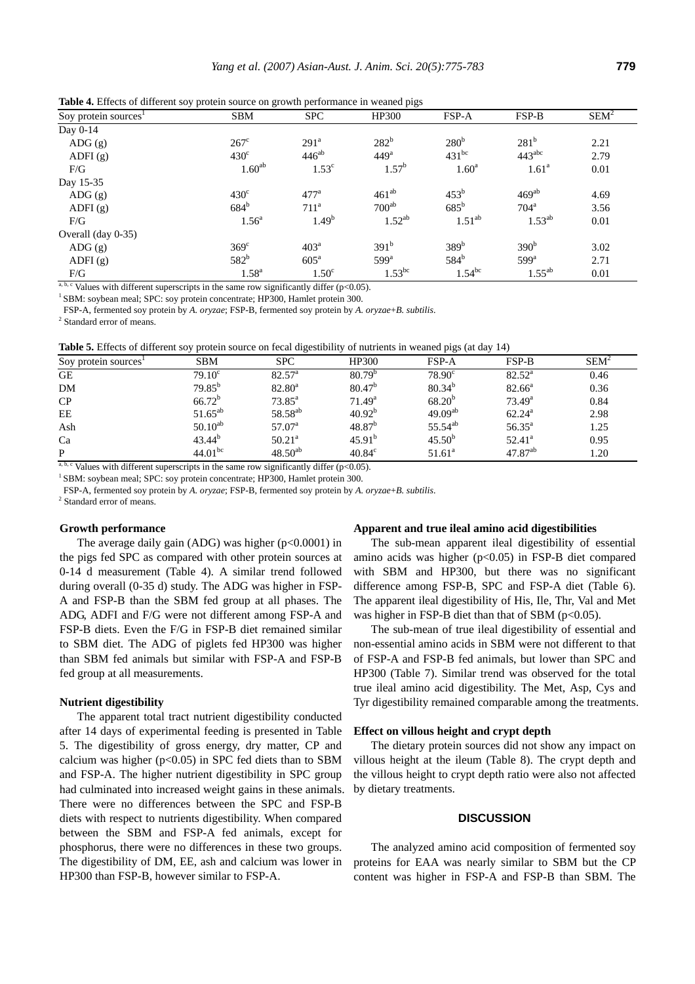|                                  | so) protein source on growth performance in wealted page |                    |                  |                   |                    |         |  |
|----------------------------------|----------------------------------------------------------|--------------------|------------------|-------------------|--------------------|---------|--|
| Soy protein sources <sup>1</sup> | <b>SBM</b>                                               | <b>SPC</b>         | HP300            | FSP-A             | FSP-B              | $SEM^2$ |  |
| Day 0-14                         |                                                          |                    |                  |                   |                    |         |  |
| $\text{ADG}(\text{g})$           | $267^{\circ}$                                            | 291 <sup>a</sup>   | 282 <sup>b</sup> | 280 <sup>b</sup>  | $281^{b}$          | 2.21    |  |
| ADFI $(g)$                       | $430^\circ$                                              | $446^{ab}$         | 449 <sup>a</sup> | $431^{bc}$        | $443^{\text{abc}}$ | 2.79    |  |
| F/G                              | $1.60^{ab}$                                              | $1.53^{\circ}$     | $1.57^{\rm b}$   | 1.60 <sup>a</sup> | 1.61 <sup>a</sup>  | 0.01    |  |
| Day 15-35                        |                                                          |                    |                  |                   |                    |         |  |
| $\overline{ADG}(g)$              | $430^\circ$                                              | 477 <sup>a</sup>   | $461^{ab}$       | $453^{\rm b}$     | $469^{ab}$         | 4.69    |  |
| ADFI $(g)$                       | 684 <sup>b</sup>                                         | 711 <sup>a</sup>   | $700^{ab}$       | $685^{\rm b}$     | 704 <sup>a</sup>   | 3.56    |  |
| F/G                              | 1.56 <sup>a</sup>                                        | $1.49^{b}$         | $1.52^{ab}$      | $1.51^{ab}$       | $1.53^{ab}$        | 0.01    |  |
| Overall (day 0-35)               |                                                          |                    |                  |                   |                    |         |  |
| $\overline{ADG}(g)$              | $369^\circ$                                              | 403 <sup>a</sup>   | 391 <sup>b</sup> | 389 <sup>b</sup>  | 390 <sup>b</sup>   | 3.02    |  |
| ADFI $(g)$                       | $582^b$                                                  | $605^{\mathrm{a}}$ | $599^{\rm a}$    | 584 <sup>b</sup>  | $599^a$            | 2.71    |  |
| F/G                              | $1.58^{a}$                                               | 1.50 <sup>c</sup>  | $1.53^{bc}$      | $1.54^{bc}$       | $1.55^{ab}$        | 0.01    |  |
|                                  |                                                          |                    |                  |                   |                    |         |  |

**Table 4.** Effects of different soy protein source on growth performance in weaned pigs

<sup>a, b, c</sup> Values with different superscripts in the same row significantly differ (p<0.05). <sup>1</sup> SBM: soybean meal; SPC: soy protein concentrate; HP300, Hamlet protein 300.

FSP-A, fermented soy protein by *A. oryzae*; FSP-B, fermented soy protein by *A. oryzae*+*B. subtilis*. 2

<sup>2</sup> Standard error of means.

**Table 5.** Effects of different soy protein source on fecal digestibility of nutrients in weaned pigs (at day 14)

| Soy protein sources <sup>1</sup> | <b>SBM</b>      | <b>SPC</b>          | HP300              | <b>FSP-A</b>        | <b>FSP-B</b>    | <b>SEM</b> <sup>2</sup> |
|----------------------------------|-----------------|---------------------|--------------------|---------------------|-----------------|-------------------------|
| GE                               | $79.10^{\circ}$ | $82.57^{\circ}$     | $80.79^{b}$        | $78.90^{\circ}$     | $82.52^{\rm a}$ | 0.46                    |
| <b>DM</b>                        | $79.85^{b}$     | $82.80^{\circ}$     | $80.47^{b}$        | $80.34^{b}$         | $82.66^{\circ}$ | 0.36                    |
| CP                               | $66.72^b$       | $73.85^{\circ}$     | 71.49 <sup>a</sup> | $68.20^{b}$         | $73.49^a$       | 0.84                    |
| EE                               | $51.65^{ab}$    | 58.58 <sup>ab</sup> | 40.92 <sup>b</sup> | $49.09^{ab}$        | $62.24^{\rm a}$ | 2.98                    |
| Ash                              | $50.10^{ab}$    | $57.07^{\circ}$     | 48.87 <sup>b</sup> | 55.54 <sup>ab</sup> | $56.35^{\circ}$ | 1.25                    |
| Ca                               | $43.44^{b}$     | $50.21^{\circ}$     | 45.91 <sup>b</sup> | $45.50^{b}$         | $52.41^{\circ}$ | 0.95                    |
| $\mathbf{P}$                     | $44.01^{bc}$    | $48.50^{ab}$        | $40.84^{\circ}$    | $51.61^a$           | $47.87^{ab}$    | 1.20                    |

<sup>a, b, c</sup> Values with different superscripts in the same row significantly differ (p<0.05). <sup>1</sup> SBM: soybean meal; SPC: soy protein concentrate; HP300, Hamlet protein 300.

FSP-A, fermented soy protein by *A. oryzae*; FSP-B, fermented soy protein by *A. oryzae*+*B. subtilis*. 2

<sup>2</sup> Standard error of means.

#### **Growth performance**

The average daily gain (ADG) was higher  $(p<0.0001)$  in the pigs fed SPC as compared with other protein sources at 0-14 d measurement (Table 4). A similar trend followed during overall (0-35 d) study. The ADG was higher in FSP-A and FSP-B than the SBM fed group at all phases. The ADG, ADFI and F/G were not different among FSP-A and FSP-B diets. Even the F/G in FSP-B diet remained similar to SBM diet. The ADG of piglets fed HP300 was higher than SBM fed animals but similar with FSP-A and FSP-B fed group at all measurements.

#### **Nutrient digestibility**

The apparent total tract nutrient digestibility conducted after 14 days of experimental feeding is presented in Table 5. The digestibility of gross energy, dry matter, CP and calcium was higher ( $p<0.05$ ) in SPC fed diets than to SBM and FSP-A. The higher nutrient digestibility in SPC group had culminated into increased weight gains in these animals. There were no differences between the SPC and FSP-B diets with respect to nutrients digestibility. When compared between the SBM and FSP-A fed animals, except for phosphorus, there were no differences in these two groups. The digestibility of DM, EE, ash and calcium was lower in HP300 than FSP-B, however similar to FSP-A.

#### **Apparent and true ileal amino acid digestibilities**

The sub-mean apparent ileal digestibility of essential amino acids was higher  $(p<0.05)$  in FSP-B diet compared with SBM and HP300, but there was no significant difference among FSP-B, SPC and FSP-A diet (Table 6). The apparent ileal digestibility of His, Ile, Thr, Val and Met was higher in FSP-B diet than that of SBM ( $p<0.05$ ).

The sub-mean of true ileal digestibility of essential and non-essential amino acids in SBM were not different to that of FSP-A and FSP-B fed animals, but lower than SPC and HP300 (Table 7). Similar trend was observed for the total true ileal amino acid digestibility. The Met, Asp, Cys and Tyr digestibility remained comparable among the treatments.

#### **Effect on villous height and crypt depth**

The dietary protein sources did not show any impact on villous height at the ileum (Table 8). The crypt depth and the villous height to crypt depth ratio were also not affected by dietary treatments.

## **DISCUSSION**

The analyzed amino acid composition of fermented soy proteins for EAA was nearly similar to SBM but the CP content was higher in FSP-A and FSP-B than SBM. The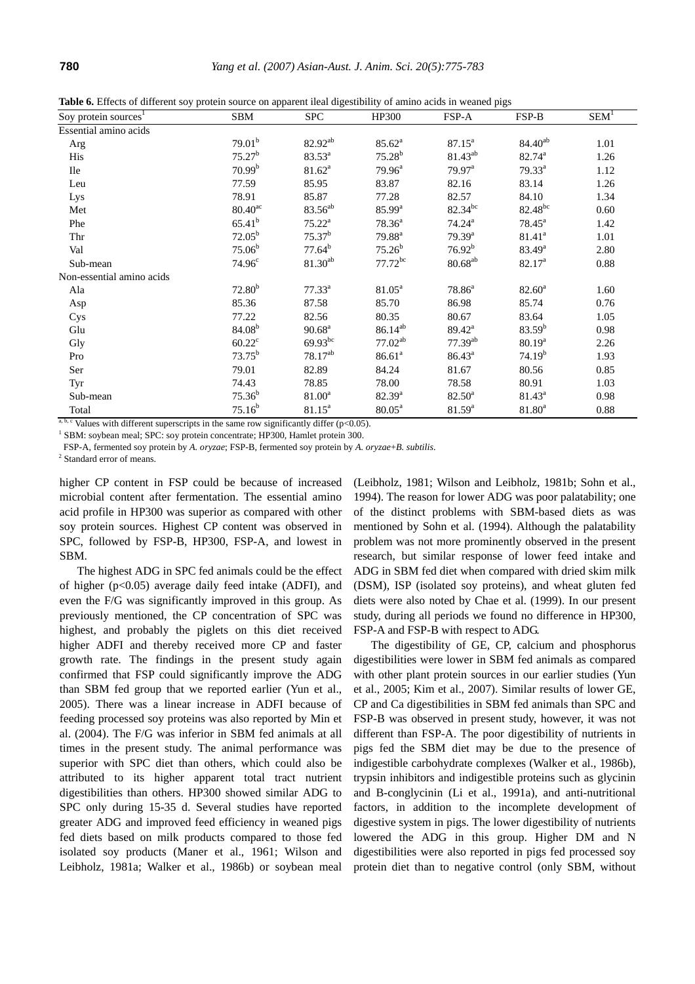|  |  |  |  |  |  |  |  |  |  | Table 6. Effects of different soy protein source on apparent ileal digestibility of amino acids in weaned pigs |
|--|--|--|--|--|--|--|--|--|--|----------------------------------------------------------------------------------------------------------------|
|--|--|--|--|--|--|--|--|--|--|----------------------------------------------------------------------------------------------------------------|

| Soy protein sources <sup>1</sup> | <b>SBM</b>            | <b>SPC</b>          | HP300              | FSP-A                | FSP-B               | $SEM^T$ |
|----------------------------------|-----------------------|---------------------|--------------------|----------------------|---------------------|---------|
| Essential amino acids            |                       |                     |                    |                      |                     |         |
| Arg                              | 79.01 <sup>b</sup>    | 82.92 <sup>ab</sup> | $85.62^a$          | $87.15^{\circ}$      | $84.40^{ab}$        | 1.01    |
| His                              | 75.27 <sup>b</sup>    | $83.53^{a}$         | $75.28^{b}$        | 81.43 <sup>ab</sup>  | 82.74 <sup>a</sup>  | 1.26    |
| <b>Ile</b>                       | 70.99 <sup>b</sup>    | $81.62^a$           | $79.96^a$          | $79.97^{\text{a}}$   | $79.33^a$           | 1.12    |
| Leu                              | 77.59                 | 85.95               | 83.87              | 82.16                | 83.14               | 1.26    |
| Lys                              | 78.91                 | 85.87               | 77.28              | 82.57                | 84.10               | 1.34    |
| Met                              | $80.40$ <sup>ac</sup> | 83.56 <sup>ab</sup> | $85.99^{a}$        | $82.34^{bc}$         | 82.48 <sup>bc</sup> | 0.60    |
| Phe                              | $65.41^{b}$           | $75.22^{\rm a}$     | $78.36^a$          | $74.24^{\rm a}$      | $78.45^{\circ}$     | 1.42    |
| Thr                              | $72.05^{\rm b}$       | $75.37^{b}$         | $79.88^{a}$        | $79.39^{a}$          | 81.41 <sup>a</sup>  | 1.01    |
| Val                              | $75.06^b$             | $77.64^b$           | $75.26^b$          | 76.92 <sup>b</sup>   | $83.49^{\rm a}$     | 2.80    |
| Sub-mean                         | 74.96 <sup>c</sup>    | $81.30^{ab}$        | $77.72^{bc}$       | $80.68^{ab}$         | 82.17 <sup>a</sup>  | 0.88    |
| Non-essential amino acids        |                       |                     |                    |                      |                     |         |
| Ala                              | 72.80 <sup>b</sup>    | $77.33^a$           | $81.05^{\circ}$    | $78.86^a$            | $82.60^{\circ}$     | 1.60    |
| Asp                              | 85.36                 | 87.58               | 85.70              | 86.98                | 85.74               | 0.76    |
| Cys                              | 77.22                 | 82.56               | 80.35              | 80.67                | 83.64               | 1.05    |
| Glu                              | $84.08^{b}$           | $90.68^{\text{a}}$  | $86.14^{ab}$       | $89.42^{\mathrm{a}}$ | $83.59^{b}$         | 0.98    |
| Gly                              | $60.22^{\circ}$       | $69.93^{bc}$        | $77.02^{ab}$       | $77.39^{ab}$         | $80.19^{a}$         | 2.26    |
| Pro                              | $73.75^b$             | $78.17^{ab}$        | 86.61 <sup>a</sup> | $86.43^{\circ}$      | 74.19 <sup>b</sup>  | 1.93    |
| Ser                              | 79.01                 | 82.89               | 84.24              | 81.67                | 80.56               | 0.85    |
| Tyr                              | 74.43                 | 78.85               | 78.00              | 78.58                | 80.91               | 1.03    |
| Sub-mean                         | $75.36^{b}$           | $81.00^a$           | $82.39^{a}$        | $82.50^{\circ}$      | $81.43^a$           | 0.98    |
| Total                            | $75.16^b$             | $81.15^a$           | $80.05^{\text{a}}$ | $81.59^{\rm a}$      | $81.80^{\rm a}$     | 0.88    |

Values with different superscripts in the same row significantly differ ( $p<0.05$ ).

<sup>1</sup> SBM: soybean meal; SPC: soy protein concentrate; HP300, Hamlet protein 300.

FSP-A, fermented soy protein by *A. oryzae*; FSP-B, fermented soy protein by *A. oryzae*+*B. subtilis*. 2

 $2$  Standard error of means.

higher CP content in FSP could be because of increased microbial content after fermentation. The essential amino acid profile in HP300 was superior as compared with other soy protein sources. Highest CP content was observed in SPC, followed by FSP-B, HP300, FSP-A, and lowest in SBM.

The highest ADG in SPC fed animals could be the effect of higher  $(p<0.05)$  average daily feed intake (ADFI), and even the F/G was significantly improved in this group. As previously mentioned, the CP concentration of SPC was highest, and probably the piglets on this diet received higher ADFI and thereby received more CP and faster growth rate. The findings in the present study again confirmed that FSP could significantly improve the ADG than SBM fed group that we reported earlier (Yun et al., 2005). There was a linear increase in ADFI because of feeding processed soy proteins was also reported by Min et al. (2004). The F/G was inferior in SBM fed animals at all times in the present study. The animal performance was superior with SPC diet than others, which could also be attributed to its higher apparent total tract nutrient digestibilities than others. HP300 showed similar ADG to SPC only during 15-35 d. Several studies have reported greater ADG and improved feed efficiency in weaned pigs fed diets based on milk products compared to those fed isolated soy products (Maner et al., 1961; Wilson and Leibholz, 1981a; Walker et al., 1986b) or soybean meal

(Leibholz, 1981; Wilson and Leibholz, 1981b; Sohn et al., 1994). The reason for lower ADG was poor palatability; one of the distinct problems with SBM-based diets as was mentioned by Sohn et al. (1994). Although the palatability problem was not more prominently observed in the present research, but similar response of lower feed intake and ADG in SBM fed diet when compared with dried skim milk (DSM), ISP (isolated soy proteins), and wheat gluten fed diets were also noted by Chae et al. (1999). In our present study, during all periods we found no difference in HP300, FSP-A and FSP-B with respect to ADG.

The digestibility of GE, CP, calcium and phosphorus digestibilities were lower in SBM fed animals as compared with other plant protein sources in our earlier studies (Yun et al., 2005; Kim et al., 2007). Similar results of lower GE, CP and Ca digestibilities in SBM fed animals than SPC and FSP-B was observed in present study, however, it was not different than FSP-A. The poor digestibility of nutrients in pigs fed the SBM diet may be due to the presence of indigestible carbohydrate complexes (Walker et al., 1986b), trypsin inhibitors and indigestible proteins such as glycinin and B-conglycinin (Li et al., 1991a), and anti-nutritional factors, in addition to the incomplete development of digestive system in pigs. The lower digestibility of nutrients lowered the ADG in this group. Higher DM and N digestibilities were also reported in pigs fed processed soy protein diet than to negative control (only SBM, without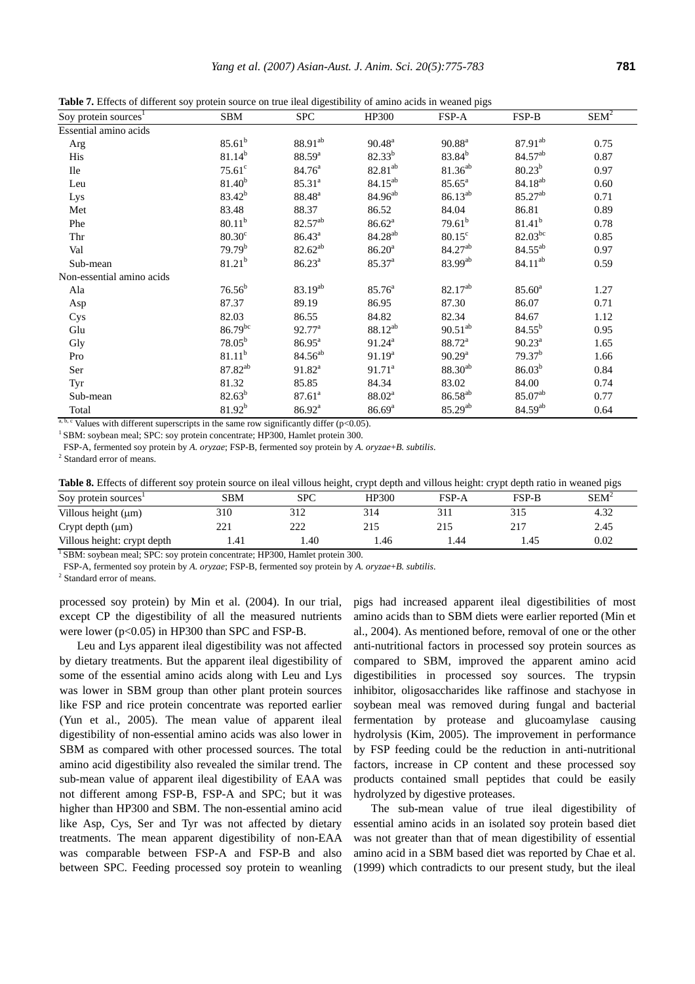|  | Table 7. Effects of different soy protein source on true ileal digestibility of amino acids in weaned pigs |  |  |  |  |
|--|------------------------------------------------------------------------------------------------------------|--|--|--|--|
|  |                                                                                                            |  |  |  |  |

| Soy protein sources <sup>1</sup> | <b>SBM</b>                                | <b>SPC</b>                                                                  | HP300               | FSP-A               | FSP-B               | $SEM^2$ |
|----------------------------------|-------------------------------------------|-----------------------------------------------------------------------------|---------------------|---------------------|---------------------|---------|
| Essential amino acids            |                                           |                                                                             |                     |                     |                     |         |
| Arg                              | $85.61^{b}$                               | 88.91 <sup>ab</sup>                                                         | $90.48^{\rm a}$     | $90.88^{a}$         | $87.91^{ab}$        | 0.75    |
| His                              | $81.14^{b}$                               | $88.59^{a}$                                                                 | $82.33^{b}$         | $83.84^{b}$         | 84.57 <sup>ab</sup> | 0.87    |
| <b>Ile</b>                       | $75.61$ <sup>c</sup>                      | $84.76^{\circ}$                                                             | $82.81^{ab}$        | $81.36^{ab}$        | $80.23^{b}$         | 0.97    |
| Leu                              | $81.40^{b}$                               | $85.31^{a}$                                                                 | $84.15^{ab}$        | $85.65^{\rm a}$     | $84.18^{ab}$        | 0.60    |
| Lys                              | $83.42^{b}$                               | $88.48^{a}$                                                                 | 84.96 <sup>ab</sup> | $86.13^{ab}$        | 85.27 <sup>ab</sup> | 0.71    |
| Met                              | 83.48                                     | 88.37                                                                       | 86.52               | 84.04               | 86.81               | 0.89    |
| Phe                              | $80.11^{b}$                               | 82.57 <sup>ab</sup>                                                         | 86.62 <sup>a</sup>  | $79.61^{b}$         | $81.41^{b}$         | 0.78    |
| Thr                              | $80.30^{\circ}$                           | $86.43^{\circ}$                                                             | 84.28 <sup>ab</sup> | $80.15^{\circ}$     | $82.03^{bc}$        | 0.85    |
| Val                              | 79.79 <sup>b</sup>                        | $82.62^{ab}$                                                                | 86.20 <sup>a</sup>  | 84.27 <sup>ab</sup> | $84.55^{ab}$        | 0.97    |
| Sub-mean                         | $81.21^{b}$                               | $86.23^{a}$                                                                 | 85.37 <sup>a</sup>  | $83.99^{ab}$        | $84.11^{ab}$        | 0.59    |
| Non-essential amino acids        |                                           |                                                                             |                     |                     |                     |         |
| Ala                              | $76.56^b$                                 | 83.19 <sup>ab</sup>                                                         | $85.76^{\circ}$     | $82.17^{ab}$        | $85.60^{\circ}$     | 1.27    |
| Asp                              | 87.37                                     | 89.19                                                                       | 86.95               | 87.30               | 86.07               | 0.71    |
| Cys                              | 82.03                                     | 86.55                                                                       | 84.82               | 82.34               | 84.67               | 1.12    |
| Glu                              | $86.79^{bc}$                              | $92.77^{\text{a}}$                                                          | $88.12^{ab}$        | $90.51^{ab}$        | $84.55^{b}$         | 0.95    |
| Gly                              | $78.05^{b}$                               | $86.95^{\text{a}}$                                                          | $91.24^a$           | 88.72 <sup>a</sup>  | $90.23^{\text{a}}$  | 1.65    |
| Pro                              | $81.11^{b}$                               | $84.56^{ab}$                                                                | $91.19^{a}$         | $90.29^{a}$         | 79.37 <sup>b</sup>  | 1.66    |
| Ser                              | 87.82 <sup>ab</sup>                       | $91.82^a$                                                                   | $91.71^a$           | $88.30^{ab}$        | $86.03^{b}$         | 0.84    |
| Tyr                              | 81.32                                     | 85.85                                                                       | 84.34               | 83.02               | 84.00               | 0.74    |
| Sub-mean                         | $82.63^{b}$                               | 87.61 <sup>a</sup>                                                          | $88.02^{\rm a}$     | $86.58^{ab}$        | 85.07 <sup>ab</sup> | 0.77    |
| Total<br>ahexri ta ree           | $81.92^{b}$<br>the control of the control | 86.92 <sup>a</sup><br>$\mathcal{F} = \mathcal{F}$ a refer and $\mathcal{F}$ | 86.69 <sup>a</sup>  | $85.29^{ab}$        | 84.59ab             | 0.64    |

<sup>a, b, c</sup> Values with different superscripts in the same row significantly differ (p<0.05).  $1$  SBM: soybean meal; SPC: soy protein concentrate; HP300, Hamlet protein 300.

FSP-A, fermented soy protein by *A. oryzae*; FSP-B, fermented soy protein by *A. oryzae*+*B. subtilis*. 2

 $2$  Standard error of means.

|  | Table 8. Effects of different soy protein source on ileal villous height, crypt depth and villous height: crypt depth ratio in weaned pigs |  |
|--|--------------------------------------------------------------------------------------------------------------------------------------------|--|
|  |                                                                                                                                            |  |

| Soy protein sources <sup>1</sup> | SBM          | <b>SPC</b> | <b>HP300</b> | FSP-A | FSP-B | ${\rm SEM}^2$ |
|----------------------------------|--------------|------------|--------------|-------|-------|---------------|
| Villous height $(\mu m)$         | 310          | 312        | 314          | 311   | 315   | 4.32          |
| Crypt depth $(\mu m)$            | າາ 1<br>∠∠ ⊥ | າາາ<br>∠∠∠ | 215          | 215   | 217   | 2.45          |
| Villous height: crypt depth      | 1.41         | 1.40       | 1.46         | . 44  | 1.45  | 0.02          |

 $\sqrt[1]{\text{SBM}}$ : soybean meal; SPC: soy protein concentrate; HP300, Hamlet protein 300.

FSP-A, fermented soy protein by *A. oryzae*; FSP-B, fermented soy protein by *A. oryzae*+*B. subtilis*. 2

<sup>2</sup> Standard error of means.

processed soy protein) by Min et al. (2004). In our trial, except CP the digestibility of all the measured nutrients were lower (p<0.05) in HP300 than SPC and FSP-B.

Leu and Lys apparent ileal digestibility was not affected by dietary treatments. But the apparent ileal digestibility of some of the essential amino acids along with Leu and Lys was lower in SBM group than other plant protein sources like FSP and rice protein concentrate was reported earlier (Yun et al., 2005). The mean value of apparent ileal digestibility of non-essential amino acids was also lower in SBM as compared with other processed sources. The total amino acid digestibility also revealed the similar trend. The sub-mean value of apparent ileal digestibility of EAA was not different among FSP-B, FSP-A and SPC; but it was higher than HP300 and SBM. The non-essential amino acid like Asp, Cys, Ser and Tyr was not affected by dietary treatments. The mean apparent digestibility of non-EAA was comparable between FSP-A and FSP-B and also between SPC. Feeding processed soy protein to weanling pigs had increased apparent ileal digestibilities of most amino acids than to SBM diets were earlier reported (Min et al., 2004). As mentioned before, removal of one or the other anti-nutritional factors in processed soy protein sources as compared to SBM, improved the apparent amino acid digestibilities in processed soy sources. The trypsin inhibitor, oligosaccharides like raffinose and stachyose in soybean meal was removed during fungal and bacterial fermentation by protease and glucoamylase causing hydrolysis (Kim, 2005). The improvement in performance by FSP feeding could be the reduction in anti-nutritional factors, increase in CP content and these processed soy products contained small peptides that could be easily hydrolyzed by digestive proteases.

The sub-mean value of true ileal digestibility of essential amino acids in an isolated soy protein based diet was not greater than that of mean digestibility of essential amino acid in a SBM based diet was reported by Chae et al. (1999) which contradicts to our present study, but the ileal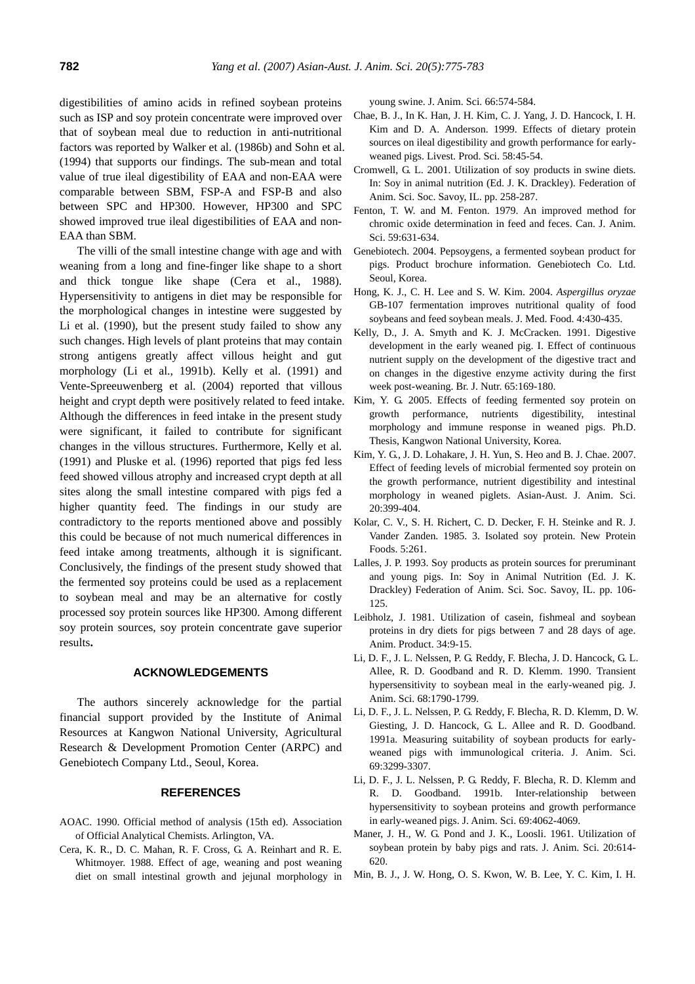digestibilities of amino acids in refined soybean proteins such as ISP and soy protein concentrate were improved over that of soybean meal due to reduction in anti-nutritional factors was reported by Walker et al. (1986b) and Sohn et al. (1994) that supports our findings. The sub-mean and total value of true ileal digestibility of EAA and non-EAA were comparable between SBM, FSP-A and FSP-B and also between SPC and HP300. However, HP300 and SPC showed improved true ileal digestibilities of EAA and non-EAA than SBM.

The villi of the small intestine change with age and with weaning from a long and fine-finger like shape to a short and thick tongue like shape (Cera et al., 1988). Hypersensitivity to antigens in diet may be responsible for the morphological changes in intestine were suggested by Li et al. (1990), but the present study failed to show any such changes. High levels of plant proteins that may contain strong antigens greatly affect villous height and gut morphology (Li et al., 1991b). Kelly et al. (1991) and Vente-Spreeuwenberg et al. (2004) reported that villous height and crypt depth were positively related to feed intake. Although the differences in feed intake in the present study were significant, it failed to contribute for significant changes in the villous structures. Furthermore, Kelly et al. (1991) and Pluske et al. (1996) reported that pigs fed less feed showed villous atrophy and increased crypt depth at all sites along the small intestine compared with pigs fed a higher quantity feed. The findings in our study are contradictory to the reports mentioned above and possibly this could be because of not much numerical differences in feed intake among treatments, although it is significant. Conclusively, the findings of the present study showed that the fermented soy proteins could be used as a replacement to soybean meal and may be an alternative for costly processed soy protein sources like HP300. Among different soy protein sources, soy protein concentrate gave superior results**.** 

## **ACKNOWLEDGEMENTS**

The authors sincerely acknowledge for the partial financial support provided by the Institute of Animal Resources at Kangwon National University, Agricultural Research & Development Promotion Center (ARPC) and Genebiotech Company Ltd., Seoul, Korea.

#### **REFERENCES**

- AOAC. 1990. Official method of analysis (15th ed). Association of Official Analytical Chemists. Arlington, VA.
- Cera, K. R., D. C. Mahan, R. F. Cross, G. A. Reinhart and R. E. Whitmoyer. 1988. Effect of age, weaning and post weaning diet on small intestinal growth and jejunal morphology in

young swine. J. Anim. Sci. 66:574-584.

- Chae, B. J., In K. Han, J. H. Kim, C. J. Yang, J. D. Hancock, I. H. Kim and D. A. Anderson. 1999. Effects of dietary protein sources on ileal digestibility and growth performance for earlyweaned pigs. Livest. Prod. Sci. 58:45-54.
- Cromwell, G. L. 2001. Utilization of soy products in swine diets. In: Soy in animal nutrition (Ed. J. K. Drackley). Federation of Anim. Sci. Soc. Savoy, IL. pp. 258-287.
- Fenton, T. W. and M. Fenton. 1979. An improved method for chromic oxide determination in feed and feces. Can. J. Anim. Sci. 59:631-634.
- Genebiotech. 2004. Pepsoygens, a fermented soybean product for pigs. Product brochure information. Genebiotech Co. Ltd. Seoul, Korea.
- Hong, K. J., C. H. Lee and S. W. Kim. 2004. *Aspergillus oryzae* GB-107 fermentation improves nutritional quality of food soybeans and feed soybean meals. J. Med. Food. 4:430-435.
- Kelly, D., J. A. Smyth and K. J. McCracken. 1991. Digestive development in the early weaned pig. I. Effect of continuous nutrient supply on the development of the digestive tract and on changes in the digestive enzyme activity during the first week post-weaning. Br. J. Nutr. 65:169-180.
- Kim, Y. G. 2005. Effects of feeding fermented soy protein on growth performance, nutrients digestibility, intestinal morphology and immune response in weaned pigs. Ph.D. Thesis, Kangwon National University, Korea.
- Kim, Y. G., J. D. Lohakare, J. H. Yun, S. Heo and B. J. Chae. 2007. Effect of feeding levels of microbial fermented soy protein on the growth performance, nutrient digestibility and intestinal morphology in weaned piglets. Asian-Aust. J. Anim. Sci. 20:399-404.
- Kolar, C. V., S. H. Richert, C. D. Decker, F. H. Steinke and R. J. Vander Zanden. 1985. 3. Isolated soy protein. New Protein Foods. 5:261.
- Lalles, J. P. 1993. Soy products as protein sources for preruminant and young pigs. In: Soy in Animal Nutrition (Ed. J. K. Drackley) Federation of Anim. Sci. Soc. Savoy, IL. pp. 106- 125.
- Leibholz, J. 1981. Utilization of casein, fishmeal and soybean proteins in dry diets for pigs between 7 and 28 days of age. Anim. Product. 34:9-15.
- Li, D. F., J. L. Nelssen, P. G. Reddy, F. Blecha, J. D. Hancock, G. L. Allee, R. D. Goodband and R. D. Klemm. 1990. Transient hypersensitivity to soybean meal in the early-weaned pig. J. Anim. Sci. 68:1790-1799.
- Li, D. F., J. L. Nelssen, P. G. Reddy, F. Blecha, R. D. Klemm, D. W. Giesting, J. D. Hancock, G. L. Allee and R. D. Goodband. 1991a. Measuring suitability of soybean products for earlyweaned pigs with immunological criteria. J. Anim. Sci. 69:3299-3307.
- Li, D. F., J. L. Nelssen, P. G. Reddy, F. Blecha, R. D. Klemm and R. D. Goodband. 1991b. Inter-relationship between hypersensitivity to soybean proteins and growth performance in early-weaned pigs. J. Anim. Sci. 69:4062-4069.
- Maner, J. H., W. G. Pond and J. K., Loosli. 1961. Utilization of soybean protein by baby pigs and rats. J. Anim. Sci. 20:614- 620.
- Min, B. J., J. W. Hong, O. S. Kwon, W. B. Lee, Y. C. Kim, I. H.